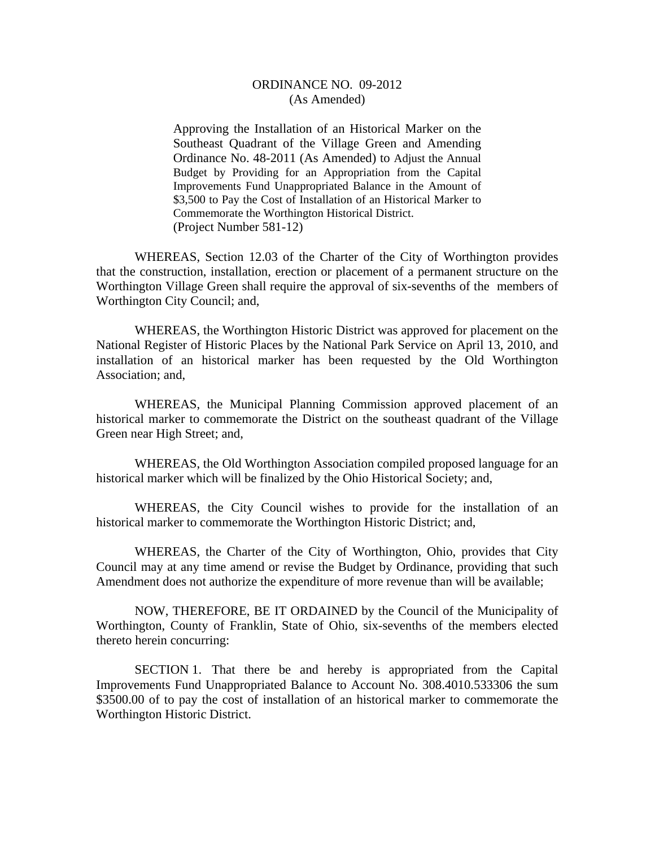## ORDINANCE NO. 09-2012 (As Amended)

Approving the Installation of an Historical Marker on the Southeast Quadrant of the Village Green and Amending Ordinance No. 48-2011 (As Amended) to Adjust the Annual Budget by Providing for an Appropriation from the Capital Improvements Fund Unappropriated Balance in the Amount of \$3,500 to Pay the Cost of Installation of an Historical Marker to Commemorate the Worthington Historical District. (Project Number 581-12)

 WHEREAS, Section 12.03 of the Charter of the City of Worthington provides that the construction, installation, erection or placement of a permanent structure on the Worthington Village Green shall require the approval of six-sevenths of the members of Worthington City Council; and,

 WHEREAS, the Worthington Historic District was approved for placement on the National Register of Historic Places by the National Park Service on April 13, 2010, and installation of an historical marker has been requested by the Old Worthington Association; and,

WHEREAS, the Municipal Planning Commission approved placement of an historical marker to commemorate the District on the southeast quadrant of the Village Green near High Street; and,

WHEREAS, the Old Worthington Association compiled proposed language for an historical marker which will be finalized by the Ohio Historical Society; and,

WHEREAS, the City Council wishes to provide for the installation of an historical marker to commemorate the Worthington Historic District; and,

WHEREAS, the Charter of the City of Worthington, Ohio, provides that City Council may at any time amend or revise the Budget by Ordinance, providing that such Amendment does not authorize the expenditure of more revenue than will be available;

 NOW, THEREFORE, BE IT ORDAINED by the Council of the Municipality of Worthington, County of Franklin, State of Ohio, six-sevenths of the members elected thereto herein concurring:

 SECTION 1. That there be and hereby is appropriated from the Capital Improvements Fund Unappropriated Balance to Account No. 308.4010.533306 the sum \$3500.00 of to pay the cost of installation of an historical marker to commemorate the Worthington Historic District.